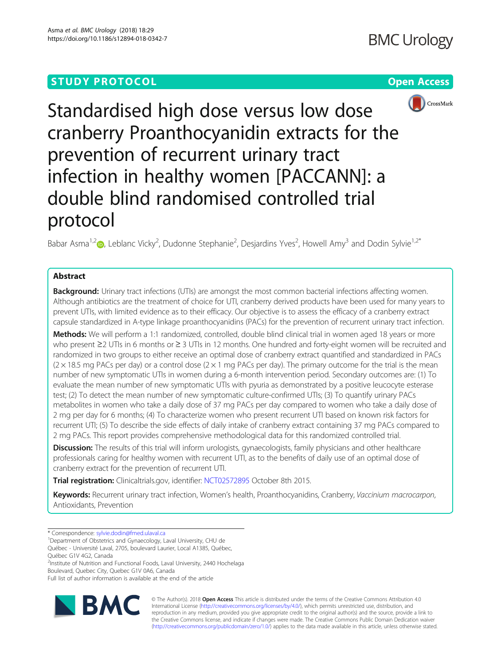

Standardised high dose versus low dose cranberry Proanthocyanidin extracts for the prevention of recurrent urinary tract infection in healthy women [PACCANN]: a double blind randomised controlled trial protocol

Babar Asma<sup>1[,](http://orcid.org/0000-0003-1596-6222)2</sup> D, Leblanc Vicky<sup>2</sup>, Dudonne Stephanie<sup>2</sup>, Desjardins Yves<sup>2</sup>, Howell Amy<sup>3</sup> and Dodin Sylvie<sup>1,2\*</sup>

# Abstract

Background: Urinary tract infections (UTIs) are amongst the most common bacterial infections affecting women. Although antibiotics are the treatment of choice for UTI, cranberry derived products have been used for many years to prevent UTIs, with limited evidence as to their efficacy. Our objective is to assess the efficacy of a cranberry extract capsule standardized in A-type linkage proanthocyanidins (PACs) for the prevention of recurrent urinary tract infection.

Methods: We will perform a 1:1 randomized, controlled, double blind clinical trial in women aged 18 years or more who present ≥2 UTIs in 6 months or ≥ 3 UTIs in 12 months. One hundred and forty-eight women will be recruited and randomized in two groups to either receive an optimal dose of cranberry extract quantified and standardized in PACs  $(2 \times 18.5 \text{ mg }$  PACs per day) or a control dose  $(2 \times 1 \text{ mg }$  PACs per day). The primary outcome for the trial is the mean number of new symptomatic UTIs in women during a 6-month intervention period. Secondary outcomes are: (1) To evaluate the mean number of new symptomatic UTIs with pyuria as demonstrated by a positive leucocyte esterase test; (2) To detect the mean number of new symptomatic culture-confirmed UTIs; (3) To quantify urinary PACs metabolites in women who take a daily dose of 37 mg PACs per day compared to women who take a daily dose of 2 mg per day for 6 months; (4) To characterize women who present recurrent UTI based on known risk factors for recurrent UTI; (5) To describe the side effects of daily intake of cranberry extract containing 37 mg PACs compared to 2 mg PACs. This report provides comprehensive methodological data for this randomized controlled trial.

Discussion: The results of this trial will inform urologists, gynaecologists, family physicians and other healthcare professionals caring for healthy women with recurrent UTI, as to the benefits of daily use of an optimal dose of cranberry extract for the prevention of recurrent UTI.

Trial registration: Clinicaltrials.gov, identifier: [NCT02572895](https://clinicaltrials.gov/ct2/show/NCT02572895) October 8th 2015.

Keywords: Recurrent urinary tract infection, Women's health, Proanthocyanidins, Cranberry, Vaccinium macrocarpon, Antioxidants, Prevention

<sup>1</sup>Department of Obstetrics and Gynaecology, Laval University, CHU de Québec - Université Laval, 2705, boulevard Laurier, Local A1385, Québec,

<sup>2</sup>Institute of Nutrition and Functional Foods, Laval University, 2440 Hochelaga Boulevard, Quebec City, Quebec G1V 0A6, Canada

Full list of author information is available at the end of the article



© The Author(s). 2018 Open Access This article is distributed under the terms of the Creative Commons Attribution 4.0 International License [\(http://creativecommons.org/licenses/by/4.0/](http://creativecommons.org/licenses/by/4.0/)), which permits unrestricted use, distribution, and reproduction in any medium, provided you give appropriate credit to the original author(s) and the source, provide a link to the Creative Commons license, and indicate if changes were made. The Creative Commons Public Domain Dedication waiver [\(http://creativecommons.org/publicdomain/zero/1.0/](http://creativecommons.org/publicdomain/zero/1.0/)) applies to the data made available in this article, unless otherwise stated.

<sup>\*</sup> Correspondence: [sylvie.dodin@fmed.ulaval.ca](mailto:sylvie.dodin@fmed.ulaval.ca) <sup>1</sup>

Québec G1V 4G2, Canada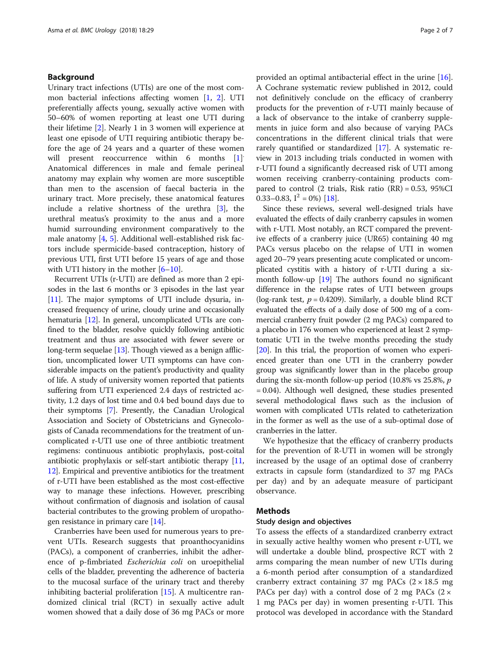## Background

Urinary tract infections (UTIs) are one of the most common bacterial infections affecting women [\[1](#page-5-0), [2\]](#page-5-0). UTI preferentially affects young, sexually active women with 50–60% of women reporting at least one UTI during their lifetime [[2\]](#page-5-0). Nearly 1 in 3 women will experience at least one episode of UTI requiring antibiotic therapy before the age of 24 years and a quarter of these women will present reoccurrence within 6 months [[1\]](#page-5-0) Anatomical differences in male and female perineal anatomy may explain why women are more susceptible than men to the ascension of faecal bacteria in the urinary tract. More precisely, these anatomical features include a relative shortness of the urethra [[3\]](#page-5-0), the urethral meatus's proximity to the anus and a more humid surrounding environment comparatively to the male anatomy [\[4](#page-5-0), [5](#page-5-0)]. Additional well-established risk factors include spermicide-based contraception, history of previous UTI, first UTI before 15 years of age and those with UTI history in the mother  $[6-10]$  $[6-10]$  $[6-10]$ .

Recurrent UTIs (r-UTI) are defined as more than 2 episodes in the last 6 months or 3 episodes in the last year [[11](#page-5-0)]. The major symptoms of UTI include dysuria, increased frequency of urine, cloudy urine and occasionally hematuria [\[12\]](#page-5-0). In general, uncomplicated UTIs are confined to the bladder, resolve quickly following antibiotic treatment and thus are associated with fewer severe or long-term sequelae [[13](#page-5-0)]. Though viewed as a benign affliction, uncomplicated lower UTI symptoms can have considerable impacts on the patient's productivity and quality of life. A study of university women reported that patients suffering from UTI experienced 2.4 days of restricted activity, 1.2 days of lost time and 0.4 bed bound days due to their symptoms [[7\]](#page-5-0). Presently, the Canadian Urological Association and Society of Obstetricians and Gynecologists of Canada recommendations for the treatment of uncomplicated r-UTI use one of three antibiotic treatment regimens: continuous antibiotic prophylaxis, post-coital antibiotic prophylaxis or self-start antibiotic therapy [[11](#page-5-0), [12](#page-5-0)]. Empirical and preventive antibiotics for the treatment of r-UTI have been established as the most cost-effective way to manage these infections. However, prescribing without confirmation of diagnosis and isolation of causal bacterial contributes to the growing problem of uropathogen resistance in primary care [\[14\]](#page-5-0).

Cranberries have been used for numerous years to prevent UTIs. Research suggests that proanthocyanidins (PACs), a component of cranberries, inhibit the adherence of p-fimbriated Escherichia coli on uroepithelial cells of the bladder, preventing the adherence of bacteria to the mucosal surface of the urinary tract and thereby inhibiting bacterial proliferation [\[15](#page-5-0)]. A multicentre randomized clinical trial (RCT) in sexually active adult women showed that a daily dose of 36 mg PACs or more provided an optimal antibacterial effect in the urine [\[16](#page-5-0)]. A Cochrane systematic review published in 2012, could not definitively conclude on the efficacy of cranberry products for the prevention of r-UTI mainly because of a lack of observance to the intake of cranberry supplements in juice form and also because of varying PACs concentrations in the different clinical trials that were rarely quantified or standardized [[17](#page-5-0)]. A systematic review in 2013 including trials conducted in women with r-UTI found a significantly decreased risk of UTI among women receiving cranberry-containing products compared to control (2 trials, Risk ratio  $(RR) = 0.53$ , 95%CI 0.33–0.83,  $I^2 = 0\%$  [\[18\]](#page-5-0).

Since these reviews, several well-designed trials have evaluated the effects of daily cranberry capsules in women with r-UTI. Most notably, an RCT compared the preventive effects of a cranberry juice (UR65) containing 40 mg PACs versus placebo on the relapse of UTI in women aged 20–79 years presenting acute complicated or uncomplicated cystitis with a history of r-UTI during a sixmonth follow-up [\[19\]](#page-5-0) The authors found no significant difference in the relapse rates of UTI between groups (log-rank test,  $p = 0.4209$ ). Similarly, a double blind RCT evaluated the effects of a daily dose of 500 mg of a commercial cranberry fruit powder (2 mg PACs) compared to a placebo in 176 women who experienced at least 2 symptomatic UTI in the twelve months preceding the study [[20](#page-5-0)]. In this trial, the proportion of women who experienced greater than one UTI in the cranberry powder group was significantly lower than in the placebo group during the six-month follow-up period (10.8% vs 25.8%, p = 0.04). Although well designed, these studies presented several methodological flaws such as the inclusion of women with complicated UTIs related to catheterization in the former as well as the use of a sub-optimal dose of cranberries in the latter.

We hypothesize that the efficacy of cranberry products for the prevention of R-UTI in women will be strongly increased by the usage of an optimal dose of cranberry extracts in capsule form (standardized to 37 mg PACs per day) and by an adequate measure of participant observance.

## Methods

### Study design and objectives

To assess the effects of a standardized cranberry extract in sexually active healthy women who present r-UTI, we will undertake a double blind, prospective RCT with 2 arms comparing the mean number of new UTIs during a 6-month period after consumption of a standardized cranberry extract containing 37 mg PACs  $(2 \times 18.5 \text{ mg})$ PACs per day) with a control dose of 2 mg PACs  $(2 \times$ 1 mg PACs per day) in women presenting r-UTI. This protocol was developed in accordance with the Standard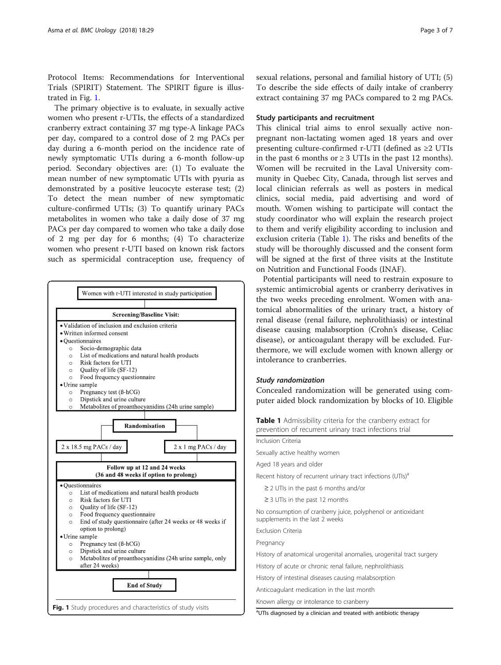Protocol Items: Recommendations for Interventional Trials (SPIRIT) Statement. The SPIRIT figure is illustrated in Fig. 1.

The primary objective is to evaluate, in sexually active women who present r-UTIs, the effects of a standardized cranberry extract containing 37 mg type-A linkage PACs per day, compared to a control dose of 2 mg PACs per day during a 6-month period on the incidence rate of newly symptomatic UTIs during a 6-month follow-up period. Secondary objectives are: (1) To evaluate the mean number of new symptomatic UTIs with pyuria as demonstrated by a positive leucocyte esterase test; (2) To detect the mean number of new symptomatic culture-confirmed UTIs; (3) To quantify urinary PACs metabolites in women who take a daily dose of 37 mg PACs per day compared to women who take a daily dose of 2 mg per day for 6 months; (4) To characterize women who present r-UTI based on known risk factors such as spermicidal contraception use, frequency of



sexual relations, personal and familial history of UTI; (5) To describe the side effects of daily intake of cranberry extract containing 37 mg PACs compared to 2 mg PACs.

## Study participants and recruitment

This clinical trial aims to enrol sexually active nonpregnant non-lactating women aged 18 years and over presenting culture-confirmed r-UTI (defined as ≥2 UTIs in the past 6 months or  $\geq$  3 UTIs in the past 12 months). Women will be recruited in the Laval University community in Quebec City, Canada, through list serves and local clinician referrals as well as posters in medical clinics, social media, paid advertising and word of mouth. Women wishing to participate will contact the study coordinator who will explain the research project to them and verify eligibility according to inclusion and exclusion criteria (Table 1). The risks and benefits of the study will be thoroughly discussed and the consent form will be signed at the first of three visits at the Institute on Nutrition and Functional Foods (INAF).

Potential participants will need to restrain exposure to systemic antimicrobial agents or cranberry derivatives in the two weeks preceding enrolment. Women with anatomical abnormalities of the urinary tract, a history of renal disease (renal failure, nephrolithiasis) or intestinal disease causing malabsorption (Crohn's disease, Celiac disease), or anticoagulant therapy will be excluded. Furthermore, we will exclude women with known allergy or intolerance to cranberries.

## Study randomization

Concealed randomization will be generated using computer aided block randomization by blocks of 10. Eligible

| <b>Table 1</b> Admissibility criteria for the cranberry extract for<br>prevention of recurrent urinary tract infections trial |
|-------------------------------------------------------------------------------------------------------------------------------|
| Inclusion Criteria                                                                                                            |
| Sexually active healthy women                                                                                                 |
| Aged 18 years and older                                                                                                       |
| Recent history of recurrent urinary tract infections (UTIs) <sup>a</sup>                                                      |
| $\geq$ 2 UTIs in the past 6 months and/or                                                                                     |
| $\geq$ 3 UTIs in the past 12 months                                                                                           |
| No consumption of cranberry juice, polyphenol or antioxidant<br>supplements in the last 2 weeks                               |
| <b>Exclusion Criteria</b>                                                                                                     |
| Pregnancy                                                                                                                     |
| History of anatomical urogenital anomalies, urogenital tract surgery                                                          |
| History of acute or chronic renal failure, nephrolithiasis                                                                    |
| History of intestinal diseases causing malabsorption                                                                          |
| Anticoaquiant medication in the last month                                                                                    |

Known allergy or intolerance to cranberry

aUTIs diagnosed by a clinician and treated with antibiotic therapy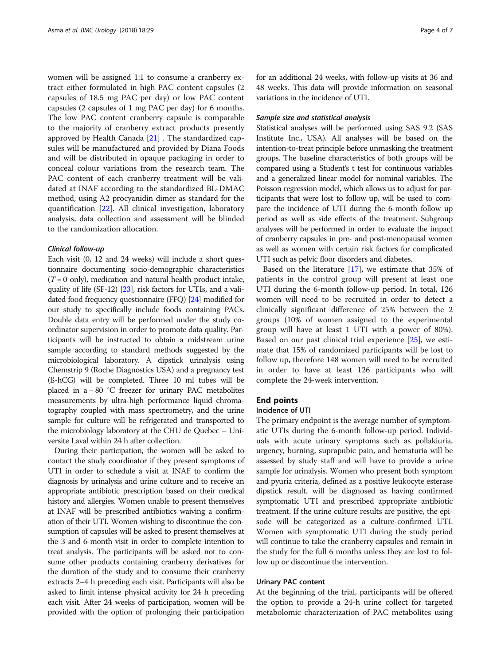women will be assigned 1:1 to consume a cranberry extract either formulated in high PAC content capsules (2 capsules of 18.5 mg PAC per day) or low PAC content capsules (2 capsules of 1 mg PAC per day) for 6 months. The low PAC content cranberry capsule is comparable to the majority of cranberry extract products presently approved by Health Canada [\[21](#page-5-0)] . The standardized capsules will be manufactured and provided by Diana Foods and will be distributed in opaque packaging in order to conceal colour variations from the research team. The PAC content of each cranberry treatment will be validated at INAF according to the standardized BL-DMAC method, using A2 procyanidin dimer as standard for the quantification [[22\]](#page-5-0). All clinical investigation, laboratory analysis, data collection and assessment will be blinded to the randomization allocation.

## Clinical follow-up

Each visit (0, 12 and 24 weeks) will include a short questionnaire documenting socio-demographic characteristics  $(T = 0 \text{ only})$ , medication and natural health product intake, quality of life (SF-12) [\[23](#page-5-0)], risk factors for UTIs, and a validated food frequency questionnaire (FFQ) [\[24](#page-5-0)] modified for our study to specifically include foods containing PACs. Double data entry will be performed under the study coordinator supervision in order to promote data quality. Participants will be instructed to obtain a midstream urine sample according to standard methods suggested by the microbiological laboratory. A dipstick urinalysis using Chemstrip 9 (Roche Diagnostics USA) and a pregnancy test (ß-hCG) will be completed. Three 10 ml tubes will be placed in a − 80 °C freezer for urinary PAC metabolites measurements by ultra-high performance liquid chromatography coupled with mass spectrometry, and the urine sample for culture will be refrigerated and transported to the microbiology laboratory at the CHU de Quebec – Universite Laval within 24 h after collection.

During their participation, the women will be asked to contact the study coordinator if they present symptoms of UTI in order to schedule a visit at INAF to confirm the diagnosis by urinalysis and urine culture and to receive an appropriate antibiotic prescription based on their medical history and allergies. Women unable to present themselves at INAF will be prescribed antibiotics waiving a confirmation of their UTI. Women wishing to discontinue the consumption of capsules will be asked to present themselves at the 3 and 6-month visit in order to complete intention to treat analysis. The participants will be asked not to consume other products containing cranberry derivatives for the duration of the study and to consume their cranberry extracts 2–4 h preceding each visit. Participants will also be asked to limit intense physical activity for 24 h preceding each visit. After 24 weeks of participation, women will be provided with the option of prolonging their participation for an additional 24 weeks, with follow-up visits at 36 and 48 weeks. This data will provide information on seasonal variations in the incidence of UTI.

## Sample size and statistical analysis

Statistical analyses will be performed using SAS 9.2 (SAS Institute Inc., USA). All analyses will be based on the intention-to-treat principle before unmasking the treatment groups. The baseline characteristics of both groups will be compared using a Student's t test for continuous variables and a generalized linear model for nominal variables. The Poisson regression model, which allows us to adjust for participants that were lost to follow up, will be used to compare the incidence of UTI during the 6-month follow up period as well as side effects of the treatment. Subgroup analyses will be performed in order to evaluate the impact of cranberry capsules in pre- and post-menopausal women as well as women with certain risk factors for complicated UTI such as pelvic floor disorders and diabetes.

Based on the literature [[17\]](#page-5-0), we estimate that 35% of patients in the control group will present at least one UTI during the 6-month follow-up period. In total, 126 women will need to be recruited in order to detect a clinically significant difference of 25% between the 2 groups (10% of women assigned to the experimental group will have at least 1 UTI with a power of 80%). Based on our past clinical trial experience [\[25](#page-6-0)], we estimate that 15% of randomized participants will be lost to follow up, therefore 148 women will need to be recruited in order to have at least 126 participants who will complete the 24-week intervention.

## End points

## Incidence of UTI

The primary endpoint is the average number of symptomatic UTIs during the 6-month follow-up period. Individuals with acute urinary symptoms such as pollakiuria, urgency, burning, suprapubic pain, and hematuria will be assessed by study staff and will have to provide a urine sample for urinalysis. Women who present both symptom and pyuria criteria, defined as a positive leukocyte esterase dipstick result, will be diagnosed as having confirmed symptomatic UTI and prescribed appropriate antibiotic treatment. If the urine culture results are positive, the episode will be categorized as a culture-confirmed UTI. Women with symptomatic UTI during the study period will continue to take the cranberry capsules and remain in the study for the full 6 months unless they are lost to follow up or discontinue the intervention.

## Urinary PAC content

At the beginning of the trial, participants will be offered the option to provide a 24-h urine collect for targeted metabolomic characterization of PAC metabolites using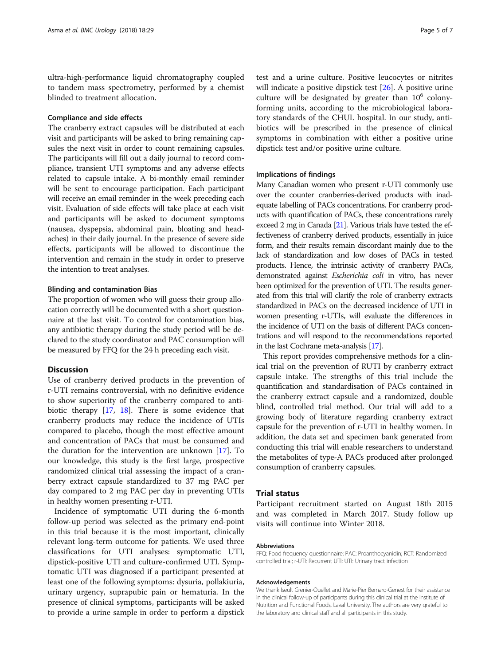ultra-high-performance liquid chromatography coupled to tandem mass spectrometry, performed by a chemist blinded to treatment allocation.

## Compliance and side effects

The cranberry extract capsules will be distributed at each visit and participants will be asked to bring remaining capsules the next visit in order to count remaining capsules. The participants will fill out a daily journal to record compliance, transient UTI symptoms and any adverse effects related to capsule intake. A bi-monthly email reminder will be sent to encourage participation. Each participant will receive an email reminder in the week preceding each visit. Evaluation of side effects will take place at each visit and participants will be asked to document symptoms (nausea, dyspepsia, abdominal pain, bloating and headaches) in their daily journal. In the presence of severe side effects, participants will be allowed to discontinue the intervention and remain in the study in order to preserve the intention to treat analyses.

#### Blinding and contamination Bias

The proportion of women who will guess their group allocation correctly will be documented with a short questionnaire at the last visit. To control for contamination bias, any antibiotic therapy during the study period will be declared to the study coordinator and PAC consumption will be measured by FFQ for the 24 h preceding each visit.

#### **Discussion**

Use of cranberry derived products in the prevention of r-UTI remains controversial, with no definitive evidence to show superiority of the cranberry compared to antibiotic therapy [[17,](#page-5-0) [18\]](#page-5-0). There is some evidence that cranberry products may reduce the incidence of UTIs compared to placebo, though the most effective amount and concentration of PACs that must be consumed and the duration for the intervention are unknown [[17\]](#page-5-0). To our knowledge, this study is the first large, prospective randomized clinical trial assessing the impact of a cranberry extract capsule standardized to 37 mg PAC per day compared to 2 mg PAC per day in preventing UTIs in healthy women presenting r-UTI.

Incidence of symptomatic UTI during the 6-month follow-up period was selected as the primary end-point in this trial because it is the most important, clinically relevant long-term outcome for patients. We used three classifications for UTI analyses: symptomatic UTI, dipstick-positive UTI and culture-confirmed UTI. Symptomatic UTI was diagnosed if a participant presented at least one of the following symptoms: dysuria, pollakiuria, urinary urgency, suprapubic pain or hematuria. In the presence of clinical symptoms, participants will be asked to provide a urine sample in order to perform a dipstick

test and a urine culture. Positive leucocytes or nitrites will indicate a positive dipstick test [[26\]](#page-6-0). A positive urine culture will be designated by greater than  $10^6$  colonyforming units, according to the microbiological laboratory standards of the CHUL hospital. In our study, antibiotics will be prescribed in the presence of clinical symptoms in combination with either a positive urine dipstick test and/or positive urine culture.

#### Implications of findings

Many Canadian women who present r-UTI commonly use over the counter cranberries-derived products with inadequate labelling of PACs concentrations. For cranberry products with quantification of PACs, these concentrations rarely exceed 2 mg in Canada [[21\]](#page-5-0). Various trials have tested the effectiveness of cranberry derived products, essentially in juice form, and their results remain discordant mainly due to the lack of standardization and low doses of PACs in tested products. Hence, the intrinsic activity of cranberry PACs, demonstrated against Escherichia coli in vitro, has never been optimized for the prevention of UTI. The results generated from this trial will clarify the role of cranberry extracts standardized in PACs on the decreased incidence of UTI in women presenting r-UTIs, will evaluate the differences in the incidence of UTI on the basis of different PACs concentrations and will respond to the recommendations reported in the last Cochrane meta-analysis [\[17\]](#page-5-0).

This report provides comprehensive methods for a clinical trial on the prevention of RUTI by cranberry extract capsule intake. The strengths of this trial include the quantification and standardisation of PACs contained in the cranberry extract capsule and a randomized, double blind, controlled trial method. Our trial will add to a growing body of literature regarding cranberry extract capsule for the prevention of r-UTI in healthy women. In addition, the data set and specimen bank generated from conducting this trial will enable researchers to understand the metabolites of type-A PACs produced after prolonged consumption of cranberry capsules.

## Trial status

Participant recruitment started on August 18th 2015 and was completed in March 2017. Study follow up visits will continue into Winter 2018.

#### Abbreviations

FFQ: Food frequency questionnaire; PAC: Proanthocyanidin; RCT: Randomized controlled trial; r-UTI: Recurrent UTI; UTI: Urinary tract infection

#### Acknowledgements

We thank Iseult Grenier-Ouellet and Marie-Pier Bernard-Genest for their assistance in the clinical follow-up of participants during this clinical trial at the Institute of Nutrition and Functional Foods, Laval University. The authors are very grateful to the laboratory and clinical staff and all participants in this study.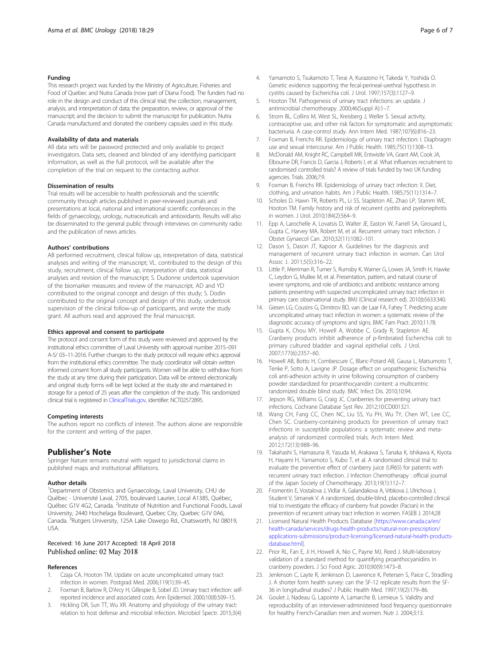### <span id="page-5-0"></span>Funding

This research project was funded by the Ministry of Agriculture, Fisheries and Food of Quebec and Nutra Canada (now part of Diana Food). The funders had no role in the design and conduct of this clinical trial; the collection, management, analysis, and interpretation of data; the preparation, review, or approval of the manuscript; and the decision to submit the manuscript for publication. Nutra Canada manufactured and donated the cranberry capsules used in this study.

#### Availability of data and materials

All data sets will be password protected and only available to project investigators. Data sets, cleaned and blinded of any identifying participant information, as well as the full protocol, will be available after the completion of the trial on request to the contacting author.

#### Dissemination of results

Trial results will be accessible to health professionals and the scientific community through articles published in peer-reviewed journals and presentations at local, national and international scientific conferences in the fields of gynaecology, urology, nutraceuticals and antioxidants. Results will also be disseminated to the general public through interviews on community radio and the publication of news articles.

#### Authors' contributions

AB performed recruitment, clinical follow up, interpretation of data, statistical analyses and writing of the manuscript; VL. contributed to the design of this study, recruitment, clinical follow up, interpretation of data, statistical analyses and revision of the manuscript; S. Dudonne undertook supervision of the biomarker measures and review of the manuscript, AD and YD contributed to the original concept and design of this study; S. Dodin contributed to the original concept and design of this study, undertook supervision of the clinical follow-up of participants, and wrote the study grant. All authors read and approved the final manuscript.

#### Ethics approval and consent to participate

The protocol and consent form of this study were reviewed and approved by the institutional ethics committee of Laval University with approval number 2015–091 A-5/ 03–11-2016. Further changes to the study protocol will require ethics approval from the institutional ethics committee. The study coordinator will obtain written informed consent from all study participants. Women will be able to withdraw from the study at any time during their participation. Data will be entered electronically and original study forms will be kept locked at the study site and maintained in storage for a period of 25 years after the completion of the study. This randomized clinical trial is registered in [ClinicalTrials.gov](http://clinicaltrials.gov), identifier: NCT02572895.

### Competing interests

The authors report no conflicts of interest. The authors alone are responsible for the content and writing of the paper.

## Publisher's Note

Springer Nature remains neutral with regard to jurisdictional claims in published maps and institutional affiliations.

#### Author details

<sup>1</sup>Department of Obstetrics and Gynaecology, Laval University, CHU de Québec - Université Laval, 2705, boulevard Laurier, Local A1385, Québec, Québec G1V 4G2, Canada. <sup>2</sup>Institute of Nutrition and Functional Foods, Laval University, 2440 Hochelaga Boulevard, Quebec City, Quebec G1V 0A6, Canada. <sup>3</sup>Rutgers University, 125A Lake Oswego Rd., Chatsworth, NJ 08019, USA.

#### Received: 16 June 2017 Accepted: 18 April 2018 Published online: 02 May 2018

### References

- Czaja CA, Hooton TM. Update on acute uncomplicated urinary tract infection in women. Postgrad Med. 2006;119(1):39–45.
- 2. Foxman B, Barlow R, D'Arcy H, Gillespie B, Sobel JD. Urinary tract infection: selfreported incidence and associated costs. Ann Epidemiol. 2000;10(8):509–15.
- 3. Hickling DR, Sun TT, Wu XR. Anatomy and physiology of the urinary tract: relation to host defense and microbial infection. Microbiol Spectr. 2015;3(4)
- 4. Yamamoto S, Tsukamoto T, Terai A, Kurazono H, Takeda Y, Yoshida O. Genetic evidence supporting the fecal-perineal-urethral hypothesis in cystitis caused by Escherichia coli. J Urol. 1997;157(3):1127–9.
- 5. Hooton TM. Pathogenesis of urinary tract infections: an update. J antimicrobial chemotherapy. 2000;46(Suppl A):1–7.
- 6. Strom BL, Collins M, West SL, Kreisberg J, Weller S. Sexual activity, contraceptive use, and other risk factors for symptomatic and asymptomatic bacteriuria. A case-control study. Ann Intern Med. 1987;107(6):816–23.
- 7. Foxman B, Frerichs RR. Epidemiology of urinary tract infection: I. Diaphragm use and sexual intercourse. Am J Public Health. 1985;75(11):1308–13.
- 8. McDonald AM, Knight RC, Campbell MK, Entwistle VA, Grant AM, Cook JA, Elbourne DR, Francis D, Garcia J, Roberts I, et al. What influences recruitment to randomised controlled trials? A review of trials funded by two UK funding agencies. Trials. 2006;7:9.
- 9. Foxman B, Frerichs RR. Epidemiology of urinary tract infection: II. Diet, clothing, and urination habits. Am J Public Health. 1985;75(11):1314–7.
- 10. Scholes D, Hawn TR, Roberts PL, Li SS, Stapleton AE, Zhao LP, Stamm WE, Hooton TM. Family history and risk of recurrent cystitis and pyelonephritis in women. J Urol. 2010;184(2):564–9.
- 11. Epp A, Larochelle A, Lovatsis D, Walter JE, Easton W, Farrell SA, Girouard L, Gupta C, Harvey MA, Robert M, et al. Recurrent urinary tract infection. J Obstet Gynaecol Can. 2010;32(11):1082–101.
- 12. Dason S, Dason JT, Kapoor A, Guidelines for the diagnosis and management of recurrent urinary tract infection in women. Can Urol Assoc J. 2011;5(5):316–22.
- 13. Little P, Merriman R, Turner S, Rumsby K, Warner G, Lowes JA, Smith H, Hawke C, Leydon G, Mullee M, et al. Presentation, pattern, and natural course of severe symptoms, and role of antibiotics and antibiotic resistance among patients presenting with suspected uncomplicated urinary tract infection in primary care: observational study. BMJ (Clinical research ed). 2010;b5633:340.
- 14. Giesen LG, Cousins G, Dimitrov BD, van de Laar FA, Fahey T. Predicting acute uncomplicated urinary tract infection in women: a systematic review of the diagnostic accuracy of symptoms and signs. BMC Fam Pract. 2010;11:78.
- 15. Gupta K, Chou MY, Howell A, Wobbe C, Grady R, Stapleton AE. Cranberry products inhibit adherence of p-fimbriated Escherichia coli to primary cultured bladder and vaginal epithelial cells. J Urol. 2007;177(6):2357–60.
- 16. Howell AB, Botto H, Combescure C, Blanc-Potard AB, Gausa L, Matsumoto T, Tenke P, Sotto A, Lavigne JP. Dosage effect on uropathogenic Escherichia coli anti-adhesion activity in urine following consumption of cranberry powder standardized for proanthocyanidin content: a multicentric randomized double blind study. BMC Infect Dis. 2010;10:94.
- 17. Jepson RG, Williams G, Craig JC. Cranberries for preventing urinary tract infections. Cochrane Database Syst Rev. 2012;10:CD001321.
- 18. Wang CH, Fang CC, Chen NC, Liu SS, Yu PH, Wu TY, Chen WT, Lee CC, Chen SC. Cranberry-containing products for prevention of urinary tract infections in susceptible populations: a systematic review and metaanalysis of randomized controlled trials. Arch Intern Med. 2012;172(13):988–96.
- 19. Takahashi S, Hamasuna R, Yasuda M, Arakawa S, Tanaka K, Ishikawa K, Kiyota H, Hayami H, Yamamoto S, Kubo T, et al. A randomized clinical trial to evaluate the preventive effect of cranberry juice (UR65) for patients with recurrent urinary tract infection. J Infection Chemotherapy : official journal of the Japan Society of Chemotherapy. 2013;19(1):112–7.
- 20. Fromentin E, Vostalova J, Vidlar A, Galandakova A, Vrbkova J, Ulrichova J, Student V, Simanek V. A randomized, double-blind, placebo-controlled clinical trial to investigate the efficacy of cranberry fruit powder (Pacran) in the prevention of recurrent urinary tract infection in women. FASEB J. 2014;28
- 21. Licensed Natural Health Products Database [[https://www.canada.ca/en/](https://www.canada.ca/en/health-canada/services/drugs-health-products/natural-non-prescription/applications-submissions/product-licensing/licensed-natural-health-products-database.html) [health-canada/services/drugs-health-products/natural-non-prescription/](https://www.canada.ca/en/health-canada/services/drugs-health-products/natural-non-prescription/applications-submissions/product-licensing/licensed-natural-health-products-database.html) [applications-submissions/product-licensing/licensed-natural-health-products](https://www.canada.ca/en/health-canada/services/drugs-health-products/natural-non-prescription/applications-submissions/product-licensing/licensed-natural-health-products-database.html)database.htmll
- 22. Prior RL, Fan E, Ji H, Howell A, Nio C, Payne MJ, Reed J. Multi-laboratory validation of a standard method for quantifying proanthocyanidins in cranberry powders. J Sci Food Agric. 2010;90(9):1473–8.
- 23. Jenkinson C, Layte R, Jenkinson D, Lawrence K, Petersen S, Paice C, Stradling J. A shorter form health survey: can the SF-12 replicate results from the SF-36 in longitudinal studies? J Public Health Med. 1997;19(2):179–86.
- 24. Goulet J, Nadeau G, Lapointe A, Lamarche B, Lemieux S. Validity and reproducibility of an interviewer-administered food frequency questionnaire for healthy French-Canadian men and women. Nutr J. 2004;3:13.